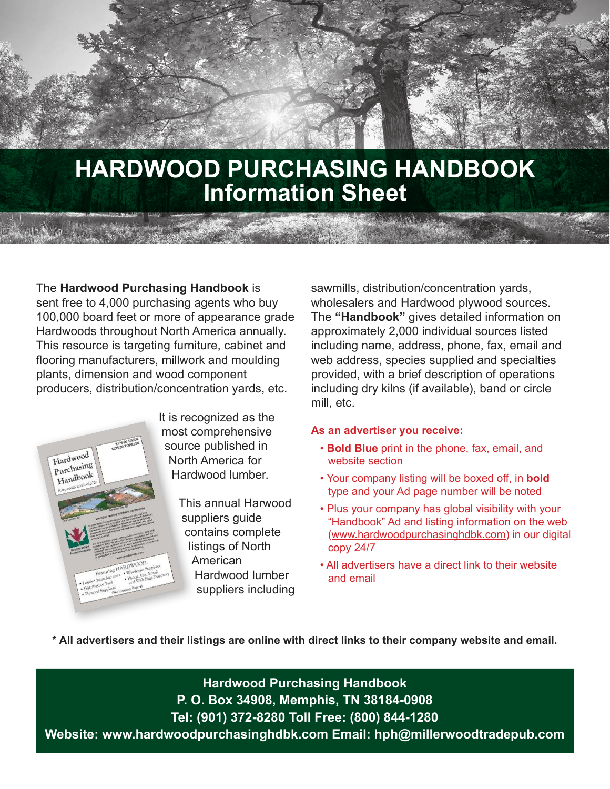# **HARDWOOD PURCHASING HANDBOOK Information Sheet**

The **Hardwood Purchasing Handbook** is sent free to 4,000 purchasing agents who buy 100,000 board feet or more of appearance grade Hardwoods throughout North America annually. This resource is targeting furniture, cabinet and flooring manufacturers, millwork and moulding plants, dimension and wood component producers, distribution/concentration yards, etc.



It is recognized as the most comprehensive source published in North America for Hardwood lumber.

> This annual Harwood suppliers guide contains complete listings of North American Hardwood lumber suppliers including

sawmills, distribution/concentration yards, wholesalers and Hardwood plywood sources. The **"Handbook"** gives detailed information on approximately 2,000 individual sources listed including name, address, phone, fax, email and web address, species supplied and specialties provided, with a brief description of operations including dry kilns (if available), band or circle mill, etc.

#### **As an advertiser you receive:**

- **Bold Blue** print in the phone, fax, email, and website section
- Your company listing will be boxed off, in **bold** type and your Ad page number will be noted
- Plus your company has global visibility with your "Handbook" Ad and listing information on the web (www.hardwoodpurchasinghdbk.com) in our digital copy 24/7
- All advertisers have a direct link to their website and email

**\* All advertisers and their listings are online with direct links to their company website and email.** 

**Hardwood Purchasing Handbook P. O. Box 34908, Memphis, TN 38184-0908 Tel: (901) 372-8280 Toll Free: (800) 844-1280 Website: www.hardwoodpurchasinghdbk.com Email: hph@millerwoodtradepub.com**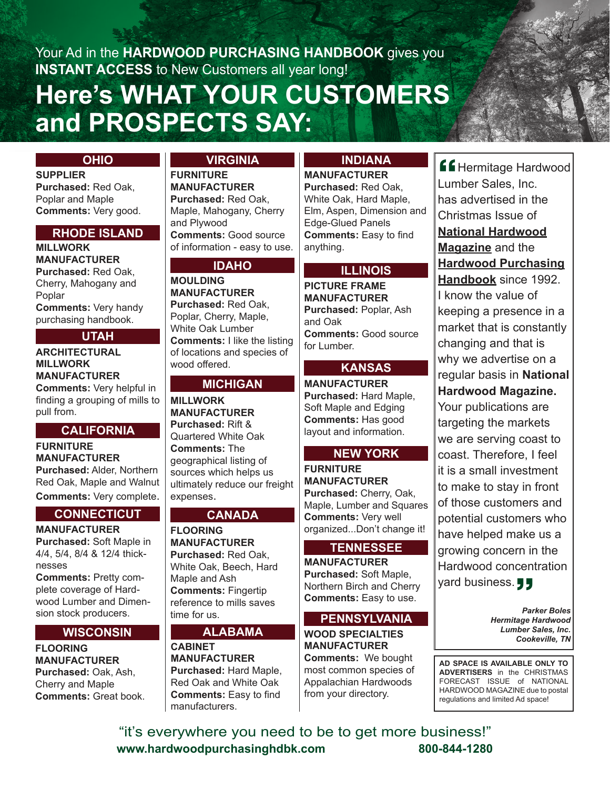# **Here's WHAT YOUR CUSTOMERS and PROSPECTS SAY:** Your Ad in the **HARDWOOD PURCHASING HANDBOOK** gives you **INSTANT ACCESS** to New Customers all year long!

#### **OHIO**

**SUPPLIER Purchased:** Red Oak, Poplar and Maple **Comments:** Very good.

#### **RHODE ISLAND**

**MILLWORK MANUFACTURER Purchased:** Red Oak, Cherry, Mahogany and Poplar **Comments:** Very handy purchasing handbook.

## **UTAH**

## **ARCHITECTURAL MILLWORK MANUFACTURER**

**Comments:** Very helpful in finding a grouping of mills to pull from.

#### **CALIFORNIA**

**FURNITURE MANUFACTURER Purchased:** Alder, Northern Red Oak, Maple and Walnut **Comments:** Very complete.

## **CONNECTICUT**

**MANUFACTURER Purchased:** Soft Maple in 4/4, 5/4, 8/4 & 12/4 thicknesses

**Comments:** Pretty complete coverage of Hardwood Lumber and Dimension stock producers.

#### **WISCONSIN**

**FLOORING MANUFACTURER Purchased:** Oak, Ash, Cherry and Maple **Comments:** Great book.

## **VIRGINIA**

**FURNITURE MANUFACTURER Purchased:** Red Oak, Maple, Mahogany, Cherry and Plywood **Comments:** Good source of information - easy to use.

## **IDAHO**

**MOULDING MANUFACTURER Purchased:** Red Oak, Poplar, Cherry, Maple, White Oak Lumber **Comments:** I like the listing of locations and species of wood offered.

#### **MICHIGAN**

**MILLWORK MANUFACTURER Purchased:** Rift & Quartered White Oak **Comments:** The geographical listing of sources which helps us ultimately reduce our freight expenses.

#### **CANADA**

**FLOORING MANUFACTURER Purchased:** Red Oak, White Oak, Beech, Hard Maple and Ash **Comments:** Fingertip reference to mills saves time for us.

#### **ALABAMA**

**CABINET MANUFACTURER Purchased:** Hard Maple, Red Oak and White Oak **Comments:** Easy to find manufacturers.

#### **INDIANA**

**MANUFACTURER**

**Purchased:** Red Oak, White Oak, Hard Maple, Elm, Aspen, Dimension and Edge-Glued Panels **Comments:** Easy to find anything.

#### **ILLINOIS**

**PICTURE FRAME MANUFACTURER Purchased:** Poplar, Ash and Oak **Comments:** Good source for Lumber.

## **KANSAS**

**MANUFACTURER Purchased:** Hard Maple, Soft Maple and Edging **Comments:** Has good layout and information.

## **NEW YORK**

**FURNITURE MANUFACTURER Purchased:** Cherry, Oak, Maple, Lumber and Squares **Comments:** Very well organized...Don't change it!

#### **TENNESSEE**

**MANUFACTURER Purchased:** Soft Maple, Northern Birch and Cherry **Comments:** Easy to use.

#### **PENNSYLVANIA**

**WOOD SPECIALTIES MANUFACTURER Comments:** We bought most common species of Appalachian Hardwoods from your directory.

**K**Hermitage Hardwood Lumber Sales, Inc. has advertised in the Christmas Issue of **National Hardwood Magazine** and the **Hardwood Purchasing Handbook** since 1992. I know the value of keeping a presence in a market that is constantly changing and that is why we advertise on a regular basis in **National Hardwood Magazine.** Your publications are targeting the markets we are serving coast to coast. Therefore, I feel it is a small investment to make to stay in front of those customers and potential customers who have helped make us a growing concern in the Hardwood concentration " yard business.  $\overline{\mathbf{G}}$ 

> *Parker Boles Hermitage Hardwood Lumber Sales, Inc. Cookeville, TN*

**AD SPACE IS AVAILABLE ONLY TO ADVERTISERS** in the CHRISTMAS FORECAST ISSUE of NATIONAL HARDWOOD MAGAZINE due to postal regulations and limited Ad space!

"it's everywhere you need to be to get more business!" **www.hardwoodpurchasinghdbk.com 800-844-1280**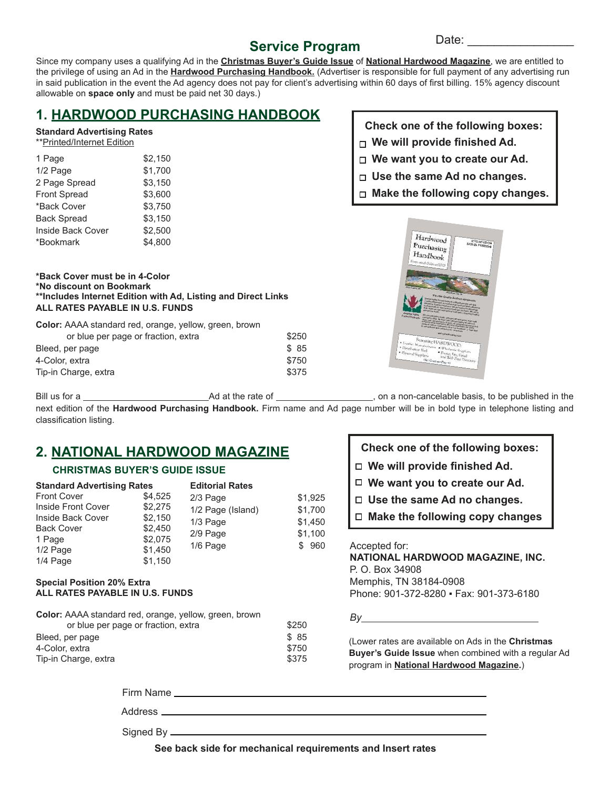# **Service Program**

Date:

Since my company uses a qualifying Ad in the **Christmas Buyer's Guide Issue** of **National Hardwood Magazine**, we are entitled to the privilege of using an Ad in the **Hardwood Purchasing Handbook.** (Advertiser is responsible for full payment of any advertising run in said publication in the event the Ad agency does not pay for client's advertising within 60 days of first billing. 15% agency discount allowable on **space only** and must be paid net 30 days.)

# **1. HARDWOOD PURCHASING HANDBOOK**

#### **Standard Advertising Rates**

|  | **Printed/Internet Edition |  |
|--|----------------------------|--|
|  |                            |  |

| 1 Page             | \$2.150 |
|--------------------|---------|
| 1/2 Page           | \$1,700 |
| 2 Page Spread      | \$3,150 |
| Front Spread       | \$3.600 |
| *Back Cover        | \$3,750 |
| <b>Back Spread</b> | \$3,150 |
| Inside Back Cover  | \$2.500 |
| *Bookmark          | \$4.800 |

#### **\*Back Cover must be in 4-Color \*No discount on Bookmark \*\*Includes Internet Edition with Ad, Listing and Direct Links ALL RATES PAYABLE IN U.S. FUNDS**

**Color:** AAAA standard red, orange, yellow, green, brown or blue per page or fraction, extra  $$250$ Bleed, per page \$ 85

| 4-Color, extra       | \$750 |
|----------------------|-------|
| Tip-in Charge, extra | \$375 |

**Check one of the following boxes:**

- **We will provide finished Ad.**
- **We want you to create our Ad.**
- **Use the same Ad no changes.**
- **Make the following copy changes.**



Bill us for a Ad at the rate of , on a non-cancelable basis, to be published in the next edition of the **Hardwood Purchasing Handbook.** Firm name and Ad page number will be in bold type in telephone listing and classification listing.

# **2. NATIONAL HARDWOOD MAGAZINE**

#### **CHRISTMAS BUYER'S GUIDE ISSUE**

| <b>Standard Advertising Rates</b> |         | <b>Editorial Rates</b> |         |  |
|-----------------------------------|---------|------------------------|---------|--|
| <b>Front Cover</b>                | \$4,525 | 2/3 Page               | \$1,925 |  |
| Inside Front Cover                | \$2,275 | 1/2 Page (Island)      | \$1,700 |  |
| Inside Back Cover                 | \$2,150 | 1/3 Page               | \$1,450 |  |
| <b>Back Cover</b>                 | \$2,450 | 2/9 Page               | \$1,100 |  |
| 1 Page                            | \$2,075 | 1/6 Page               | \$960   |  |
| 1/2 Page                          | \$1,450 |                        |         |  |
| 1/4 Page                          | \$1,150 |                        |         |  |

#### **Special Position 20% Extra ALL RATES PAYABLE IN U.S. FUNDS**

| Color: AAAA standard red, orange, yellow, green, brown |       |
|--------------------------------------------------------|-------|
| or blue per page or fraction, extra                    | \$250 |
| Bleed, per page                                        | \$ 85 |
| 4-Color, extra                                         | \$750 |
| Tip-in Charge, extra                                   | \$375 |
|                                                        |       |

| Check one of the following boxes:      |  |  |  |  |
|----------------------------------------|--|--|--|--|
| $\Box$ We will provide finished Ad.    |  |  |  |  |
| $\Box$ We want you to create our Ad.   |  |  |  |  |
| $\Box$ Use the same Ad no changes.     |  |  |  |  |
| $\Box$ Make the following copy changes |  |  |  |  |
| Accepted for:                          |  |  |  |  |

**NATIONAL HARDWOOD MAGAZINE, INC.** P. O. Box 34908 Memphis, TN 38184-0908 Phone: 901-372-8280 ▪ Fax: 901-373-6180

*By* 

(Lower rates are available on Ads in the **Christmas Buyer's Guide Issue** when combined with a regular Ad program in **National Hardwood Magazine.**)

Firm Name **Figure 2018** 

Address

Signed By  $\equiv$ 

**See back side for mechanical requirements and Insert rates**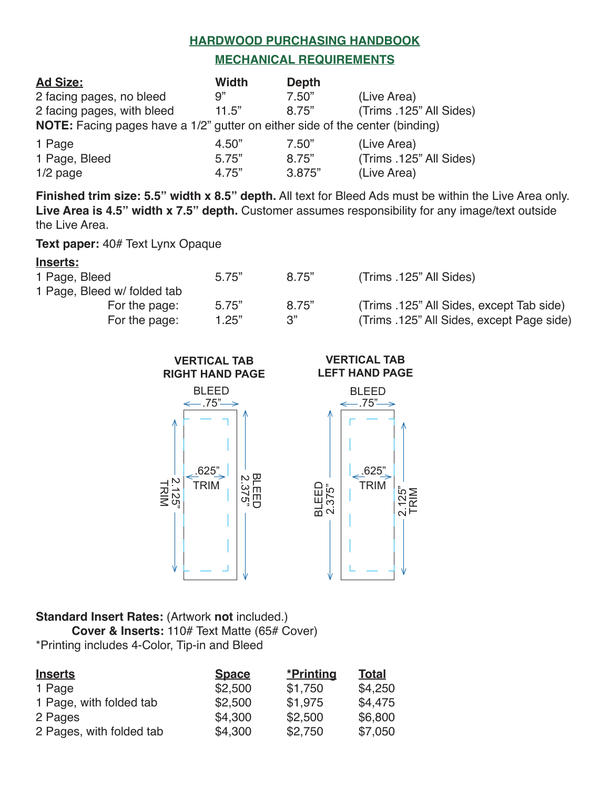#### **HARDWOOD PURCHASING HANDBOOK**

#### **MECHANICAL REQUIREMENTS**

| <b>Ad Size:</b>                                                              | Width | <b>Depth</b> |                         |
|------------------------------------------------------------------------------|-------|--------------|-------------------------|
| 2 facing pages, no bleed                                                     | 9"    | 7.50"        | (Live Area)             |
| 2 facing pages, with bleed                                                   | 11.5" | 8.75"        | (Trims .125" All Sides) |
| NOTE: Facing pages have a 1/2" gutter on either side of the center (binding) |       |              |                         |
| 1 Page                                                                       | 4.50" | 7.50"        | (Live Area)             |
| 1 Page, Bleed                                                                | 5.75" | 8.75"        | (Trims .125" All Sides) |
| $1/2$ page                                                                   | 4.75" | 3.875"       | (Live Area)             |

**Finished trim size: 5.5" width x 8.5" depth.** All text for Bleed Ads must be within the Live Area only. **Live Area is 4.5" width x 7.5" depth.** Customer assumes responsibility for any image/text outside the Live Area.

**Text paper:** 40# Text Lynx Opaque

## **Inserts:**

| 1 Page, Bleed              | 5.75" | 8.75" | (Trims .125" All Sides)                   |
|----------------------------|-------|-------|-------------------------------------------|
| 1 Page, Bleed w/folded tab |       |       |                                           |
| For the page:              | 5.75" | 8.75" | (Trims .125" All Sides, except Tab side)  |
| For the page:              | 1.25" | 3"    | (Trims .125" All Sides, except Page side) |



#### **Standard Insert Rates:** (Artwork **not** included.) **Cover & Inserts:** 110# Text Matte (65# Cover) \*Printing includes 4-Color, Tip-in and Bleed

| <b>Inserts</b>           | <b>Space</b> | *Printing | <b>Total</b> |
|--------------------------|--------------|-----------|--------------|
| 1 Page                   | \$2,500      | \$1,750   | \$4,250      |
| 1 Page, with folded tab  | \$2,500      | \$1,975   | \$4,475      |
| 2 Pages                  | \$4,300      | \$2,500   | \$6,800      |
| 2 Pages, with folded tab | \$4,300      | \$2,750   | \$7,050      |